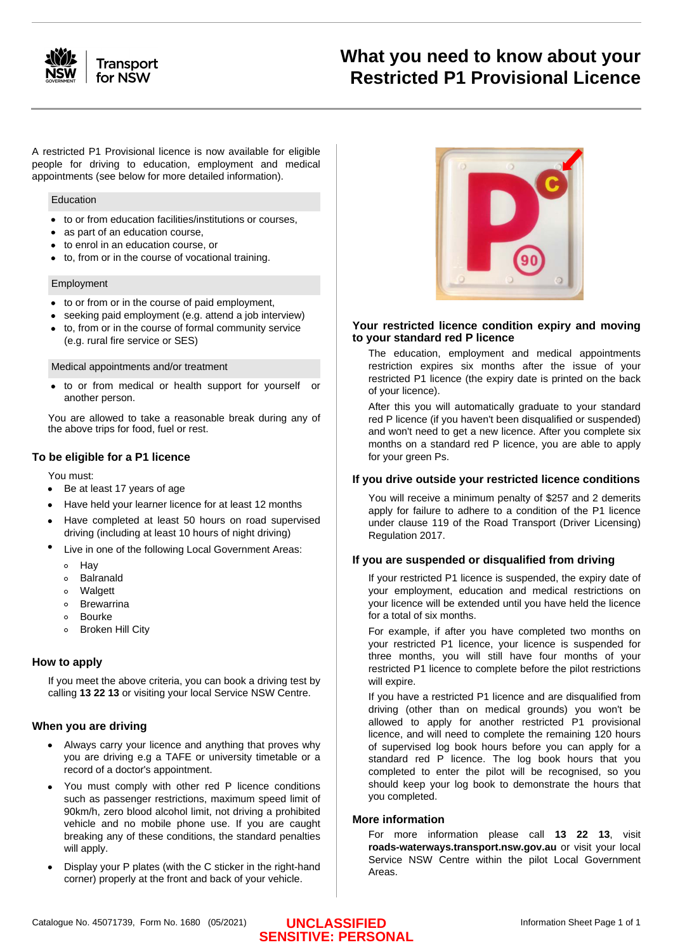

# **What you need to know about your Restricted P1 Provisional Licence**

A restricted P1 Provisional licence is now available for eligible people for driving to education, employment and medical appointments (see below for more detailed information).

#### Education

- to or from education facilities/institutions or courses,
- as part of an education course,
- to enrol in an education course, or
- to, from or in the course of vocational training.

#### Employment

- to or from or in the course of paid employment,
- seeking paid employment (e.g. attend a job interview)
- to, from or in the course of formal community service (e.g. rural fire service or SES)

#### Medical appointments and/or treatment

to or from medical or health support for yourself or another person.

You are allowed to take a reasonable break during any of the above trips for food, fuel or rest.

#### **To be eligible for a P1 licence**

You must:

- Be at least 17 years of age
- Have held your learner licence for at least 12 months
- Have completed at least 50 hours on road supervised driving (including at least 10 hours of night driving)
- Live in one of the following Local Government Areas:
	- $\circ$ Hay
	- $\circ$ Balranald
	- o Walgett
	- Brewarrina  $\circ$
	- Bourke  $\circ$
	- Broken Hill City

### **How to apply**

If you meet the above criteria, you can book a driving test by calling **13 22 13** or visiting your local Service NSW Centre.

#### **When you are driving**

- Always carry your licence and anything that proves why you are driving e.g a TAFE or university timetable or a record of a doctor's appointment.
- You must comply with other red P licence conditions such as passenger restrictions, maximum speed limit of 90km/h, zero blood alcohol limit, not driving a prohibited vehicle and no mobile phone use. If you are caught breaking any of these conditions, the standard penalties will apply.
- Display your P plates (with the C sticker in the right-hand corner) properly at the front and back of your vehicle.



#### **Your restricted licence condition expiry and moving to your standard red P licence**

The education, employment and medical appointments restriction expires six months after the issue of your restricted P1 licence (the expiry date is printed on the back of your licence).

After this you will automatically graduate to your standard red P licence (if you haven't been disqualified or suspended) and won't need to get a new licence. After you complete six months on a standard red P licence, you are able to apply for your green Ps.

#### **If you drive outside your restricted licence conditions**

You will receive a minimum penalty of \$257 and 2 demerits apply for failure to adhere to a condition of the P1 licence under clause 119 of the Road Transport (Driver Licensing) Regulation 2017.

#### **If you are suspended or disqualified from driving**

If your restricted P1 licence is suspended, the expiry date of your employment, education and medical restrictions on your licence will be extended until you have held the licence for a total of six months.

For example, if after you have completed two months on your restricted P1 licence, your licence is suspended for three months, you will still have four months of your restricted P1 licence to complete before the pilot restrictions will expire.

If you have a restricted P1 licence and are disqualified from driving (other than on medical grounds) you won't be allowed to apply for another restricted P1 provisional licence, and will need to complete the remaining 120 hours of supervised log book hours before you can apply for a standard red P licence. The log book hours that you completed to enter the pilot will be recognised, so you should keep your log book to demonstrate the hours that you completed.

#### **More information**

For more information please call **13 22 13**, visit **roads-waterways.transport.nsw.gov.au** or visit your local Service NSW Centre within the pilot Local Government Areas.

# **UNCLASSIFIED SENSITIVE: PERSONAL**